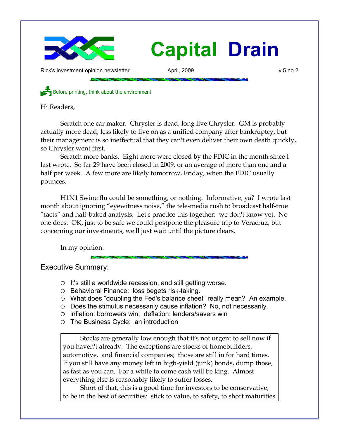

Rick's investment opinion newsletter **April, 2009** v.5 no.2

Before printing, think about the environment

Hi Readers,

Scratch one car maker. Chrysler is dead; long live Chrysler. GM is probably actually more dead, less likely to live on as a unified company after bankruptcy, but their management is so ineffectual that they can't even deliver their own death quickly, so Chrysler went first.

Scratch more banks. Eight more were closed by the FDIC in the month since I last wrote. So far 29 have been closed in 2009, or an average of more than one and a half per week. A few more are likely tomorrow, Friday, when the FDIC usually pounces.

H1N1 Swine flu could be something, or nothing. Informative, ya? I wrote last month about ignoring "eyewitness noise," the tele-media rush to broadcast half-true "facts" and half-baked analysis. Let's practice this together: we don't know yet. No one does. OK, just to be safe we could postpone the pleasure trip to Veracruz, but concerning our investments, we'll just wait until the picture clears.

In my opinion:

Executive Summary:

- $\circ$  It's still a worldwide recession, and still getting worse.
- Behavioral Finance: loss begets risk-taking.
- What does "doubling the Fed's balance sheet" really mean? An example.
- Does the stimulus necessarily cause inflation? No, not necessarily.
- inflation: borrowers win; deflation: lenders/savers win
- The Business Cycle: an introduction

Stocks are generally low enough that it's not urgent to sell now if you haven't already. The exceptions are stocks of homebuilders, automotive, and financial companies; those are still in for hard times. If you still have any money left in high-yield (junk) bonds, dump those, as fast as you can. For a while to come cash will be king. Almost everything else is reasonably likely to suffer losses.

Short of that, this is a good time for investors to be conservative, to be in the best of securities: stick to value, to safety, to short maturities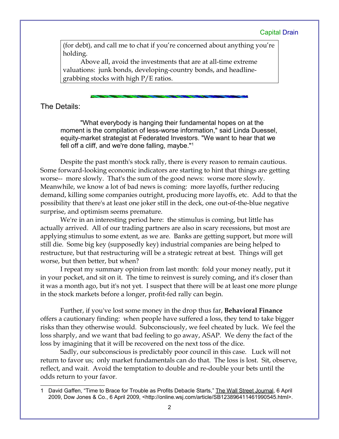(for debt), and call me to chat if you're concerned about anything you're holding.

Above all, avoid the investments that are at all-time extreme valuations: junk bonds, developing-country bonds, and headlinegrabbing stocks with high P/E ratios.

The Details:

"What everybody is hanging their fundamental hopes on at the moment is the compilation of less-worse information," said Linda Duessel, equity-market strategist at Federated Investors. "We want to hear that we fell off a cliff, and we're done falling, maybe."[1](#page-1-0)

Despite the past month's stock rally, there is every reason to remain cautious. Some forward-looking economic indicators are starting to hint that things are getting worse-- more slowly. That's the sum of the good news: worse more slowly. Meanwhile, we know a lot of bad news is coming: more layoffs, further reducing demand, killing some companies outright, producing more layoffs, etc. Add to that the possibility that there's at least one joker still in the deck, one out-of-the-blue negative surprise, and optimism seems premature.

We're in an interesting period here: the stimulus is coming, but little has actually arrived. All of our trading partners are also in scary recessions, but most are applying stimulus to some extent, as we are. Banks are getting support, but more will still die. Some big key (supposedly key) industrial companies are being helped to restructure, but that restructuring will be a strategic retreat at best. Things will get worse, but then better, but when?

I repeat my summary opinion from last month: fold your money neatly, put it in your pocket, and sit on it. The time to reinvest is surely coming, and it's closer than it was a month ago, but it's not yet. I suspect that there will be at least one more plunge in the stock markets before a longer, profit-fed rally can begin.

Further, if you've lost some money in the drop thus far, **Behavioral Finance** offers a cautionary finding: when people have suffered a loss, they tend to take bigger risks than they otherwise would. Subconsciously, we feel cheated by luck. We feel the loss sharply, and we want that bad feeling to go away, ASAP. We deny the fact of the loss by imagining that it will be recovered on the next toss of the dice.

Sadly, our subconscious is predictably poor council in this case. Luck will not return to favor us; only market fundamentals can do that. The loss is lost. Sit, observe, reflect, and wait. Avoid the temptation to double and re-double your bets until the odds return to your favor.

<span id="page-1-0"></span><sup>1</sup> David Gaffen, "Time to Brace for Trouble as Profits Debacle Starts," The Wall Street Journal, 6 April 2009, Dow Jones & Co., 6 April 2009, <http://online.wsj.com/article/SB123896411461990545.html>.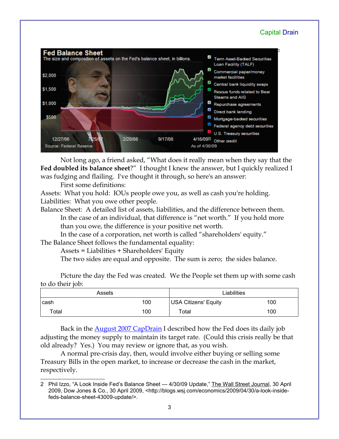

Not long ago, a friend asked, "What does it really mean when they say that the **Fed doubled its balance sheet**?" I thought I knew the answer, but I quickly realized I was fudging and flailing. I've thought it through, so here's an answer:

First some definitions:

Assets: What you hold: IOUs people owe you, as well as cash you're holding. Liabilities: What you owe other people.

Balance Sheet: A detailed list of assets, liabilities, and the difference between them. In the case of an individual, that difference is "net worth." If you hold more than you owe, the difference is your positive net worth.

In the case of a corporation, net worth is called "shareholders' equity."

The Balance Sheet follows the fundamental equality:

Assets = Liabilities + Shareholders' Equity

The two sides are equal and opposite. The sum is zero; the sides balance.

Picture the day the Fed was created. We the People set them up with some cash to do their job:

|             | Assets | Liabilities                 |     |
|-------------|--------|-----------------------------|-----|
| cash        | 100    | <b>USA Citizens' Equity</b> | 100 |
| $\tau$ otal | 100    | ™otal                       | 100 |

Back in the **August 2007 CapDrain** I described how the Fed does its daily job adjusting the money supply to maintain its target rate. (Could this crisis really be that old already? Yes.) You may review or ignore that, as you wish.

A normal pre-crisis day, then, would involve either buying or selling some Treasury Bills in the open market, to increase or decrease the cash in the market, respectively.

<span id="page-2-0"></span><sup>2</sup> Phil Izzo, "A Look Inside Fed's Balance Sheet - 4/30/09 Update," The Wall Street Journal, 30 April 2009, Dow Jones & Co., 30 April 2009, <http://blogs.wsj.com/economics/2009/04/30/a-look-insidefeds-balance-sheet-43009-update/>.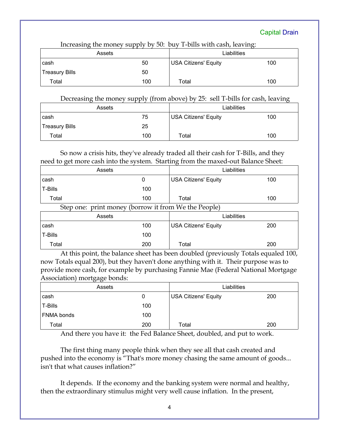| $\frac{1}{2}$<br>$\sum_{i=1}^{n}$ |     |                             |     |  |
|-----------------------------------|-----|-----------------------------|-----|--|
| Assets                            |     | Liabilities                 |     |  |
| cash                              | 50  | <b>USA Citizens' Equity</b> | 100 |  |
| <b>Treasury Bills</b>             | 50  |                             |     |  |
| Total                             | 100 | Total                       | 100 |  |

Increasing the money supply by 50: buy T-bills with cash, leaving:

Decreasing the money supply (from above) by 25: sell T-bills for cash, leaving

| Assets         |     | Liabilities          |     |
|----------------|-----|----------------------|-----|
| cash           | 75  | USA Citizens' Equity | 100 |
| Treasury Bills | 25  |                      |     |
| Total          | 100 | Total                | 100 |

So now a crisis hits, they've already traded all their cash for T-Bills, and they need to get more cash into the system. Starting from the maxed-out Balance Sheet:

|         | Assets               |                 | Liabilities                  |     |
|---------|----------------------|-----------------|------------------------------|-----|
| cash    |                      |                 | <b>USA Citizens' Equity</b>  | 100 |
| T-Bills |                      | 100             |                              |     |
| Total   |                      | 100             | Total                        | 100 |
| $\sim$  | $\sqrt{1}$<br>$\sim$ | $\cdot$ $\cdot$ | $T1T - T1$<br>$\blacksquare$ |     |

Step one: print money (borrow it from We the People)

|         | Assets |     | Liabilities          |     |
|---------|--------|-----|----------------------|-----|
| cash    |        | 100 | USA Citizens' Equity | 200 |
| T-Bills |        | 100 |                      |     |
| Total   |        | 200 | Total                | 200 |

At this point, the balance sheet has been doubled (previously Totals equaled 100, now Totals equal 200), but they haven't done anything with it. Their purpose was to provide more cash, for example by purchasing Fannie Mae (Federal National Mortgage Association) mortgage bonds:

| .<br>Assets |     | Liabilities                 |     |
|-------------|-----|-----------------------------|-----|
| cash        | Ü   | <b>USA Citizens' Equity</b> | 200 |
| T-Bills     | 100 |                             |     |
| FNMA bonds  | 100 |                             |     |
| Total       | 200 | Total                       | 200 |

And there you have it: the Fed Balance Sheet, doubled, and put to work.

The first thing many people think when they see all that cash created and pushed into the economy is "That's more money chasing the same amount of goods... isn't that what causes inflation?"

It depends. If the economy and the banking system were normal and healthy, then the extraordinary stimulus might very well cause inflation. In the present,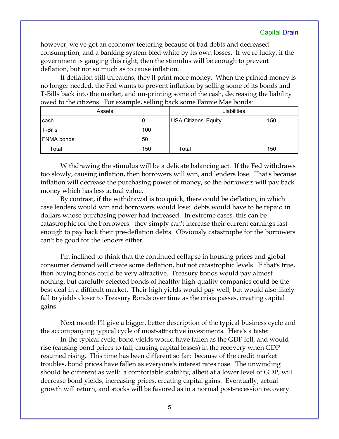however, we've got an economy teetering because of bad debts and decreased consumption, and a banking system bled white by its own losses. If we're lucky, if the government is gauging this right, then the stimulus will be enough to prevent deflation, but not so much as to cause inflation.

If deflation still threatens, they'll print more money. When the printed money is no longer needed, the Fed wants to prevent inflation by selling some of its bonds and T-Bills back into the market, and un-printing some of the cash, decreasing the liability owed to the citizens. For example, selling back some Fannie Mae bonds:

| Assets     | $\cdot$ | Liabilities          |     |
|------------|---------|----------------------|-----|
| cash       | 0       | USA Citizens' Equity | 150 |
| T-Bills    | 100     |                      |     |
| FNMA bonds | 50      |                      |     |
| Total      | 150     | Total                | 150 |

Withdrawing the stimulus will be a delicate balancing act. If the Fed withdraws too slowly, causing inflation, then borrowers will win, and lenders lose. That's because inflation will decrease the purchasing power of money, so the borrowers will pay back money which has less actual value.

By contrast, if the withdrawal is too quick, there could be deflation, in which case lenders would win and borrowers would lose: debts would have to be repaid in dollars whose purchasing power had increased. In extreme cases, this can be catastrophic for the borrowers: they simply can't increase their current earnings fast enough to pay back their pre-deflation debts. Obviously catastrophe for the borrowers can't be good for the lenders either.

I'm inclined to think that the continued collapse in housing prices and global consumer demand will create some deflation, but not catastrophic levels. If that's true, then buying bonds could be very attractive. Treasury bonds would pay almost nothing, but carefully selected bonds of healthy high-quality companies could be the best deal in a difficult market. Their high yields would pay well, but would also likely fall to yields closer to Treasury Bonds over time as the crisis passes, creating capital gains.

Next month I'll give a bigger, better description of the typical business cycle and the accompanying typical cycle of most-attractive investments. Here's a taste:

In the typical cycle, bond yields would have fallen as the GDP fell, and would rise (causing bond prices to fall, causing capital losses) in the recovery when GDP resumed rising. This time has been different so far: because of the credit market troubles, bond prices have fallen as everyone's interest rates rose. The unwinding should be different as well: a comfortable stability, albeit at a lower level of GDP, will decrease bond yields, increasing prices, creating capital gains. Eventually, actual growth will return, and stocks will be favored as in a normal post-recession recovery.